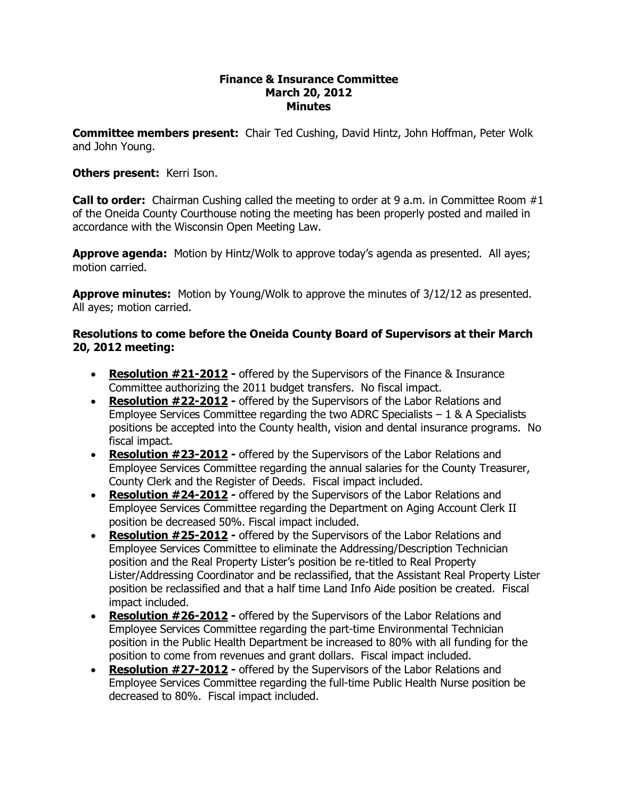## **Finance & Insurance Committee March 20, 2012 Minutes**

**Committee members present:**  Chair Ted Cushing, David Hintz, John Hoffman, Peter Wolk and John Young.

## **Others present:**  Kerri Ison.

**Call to order:** Chairman Cushing called the meeting to order at 9 a.m. in Committee Room #1 of the Oneida County Courthouse noting the meeting has been properly posted and mailed in accordance with the Wisconsin Open Meeting Law.

**Approve agenda:** Motion by Hintz/Wolk to approve today's agenda as presented. All ayes; motion carried.

**Approve minutes:** Motion by Young/Wolk to approve the minutes of 3/12/12 as presented. All ayes; motion carried.

## **Resolutions to come before the Oneida County Board of Supervisors at their March 20, 2012 meeting:**

- · **Resolution #212012** offered by the Supervisors of the Finance & Insurance Committee authorizing the 2011 budget transfers. No fiscal impact.
- **Resolution #22-2012** offered by the Supervisors of the Labor Relations and Employee Services Committee regarding the two ADRC Specialists  $-1$  & A Specialists positions be accepted into the County health, vision and dental insurance programs. No fiscal impact.
- · **Resolution #232012** offered by the Supervisors of the Labor Relations and Employee Services Committee regarding the annual salaries for the County Treasurer, County Clerk and the Register of Deeds. Fiscal impact included.
- **Resolution #24-2012** offered by the Supervisors of the Labor Relations and Employee Services Committee regarding the Department on Aging Account Clerk II position be decreased 50%. Fiscal impact included.
- · **Resolution #252012** offered by the Supervisors of the Labor Relations and Employee Services Committee to eliminate the Addressing/Description Technician position and the Real Property Lister's position be re-titled to Real Property Lister/Addressing Coordinator and be reclassified, that the Assistant Real Property Lister position be reclassified and that a half time Land Info Aide position be created. Fiscal impact included.
- **Resolution #26-2012** offered by the Supervisors of the Labor Relations and Employee Services Committee regarding the part-time Environmental Technician position in the Public Health Department be increased to 80% with all funding for the position to come from revenues and grant dollars. Fiscal impact included.
- · **Resolution #272012** offered by the Supervisors of the Labor Relations and Employee Services Committee regarding the full-time Public Health Nurse position be decreased to 80%. Fiscal impact included.